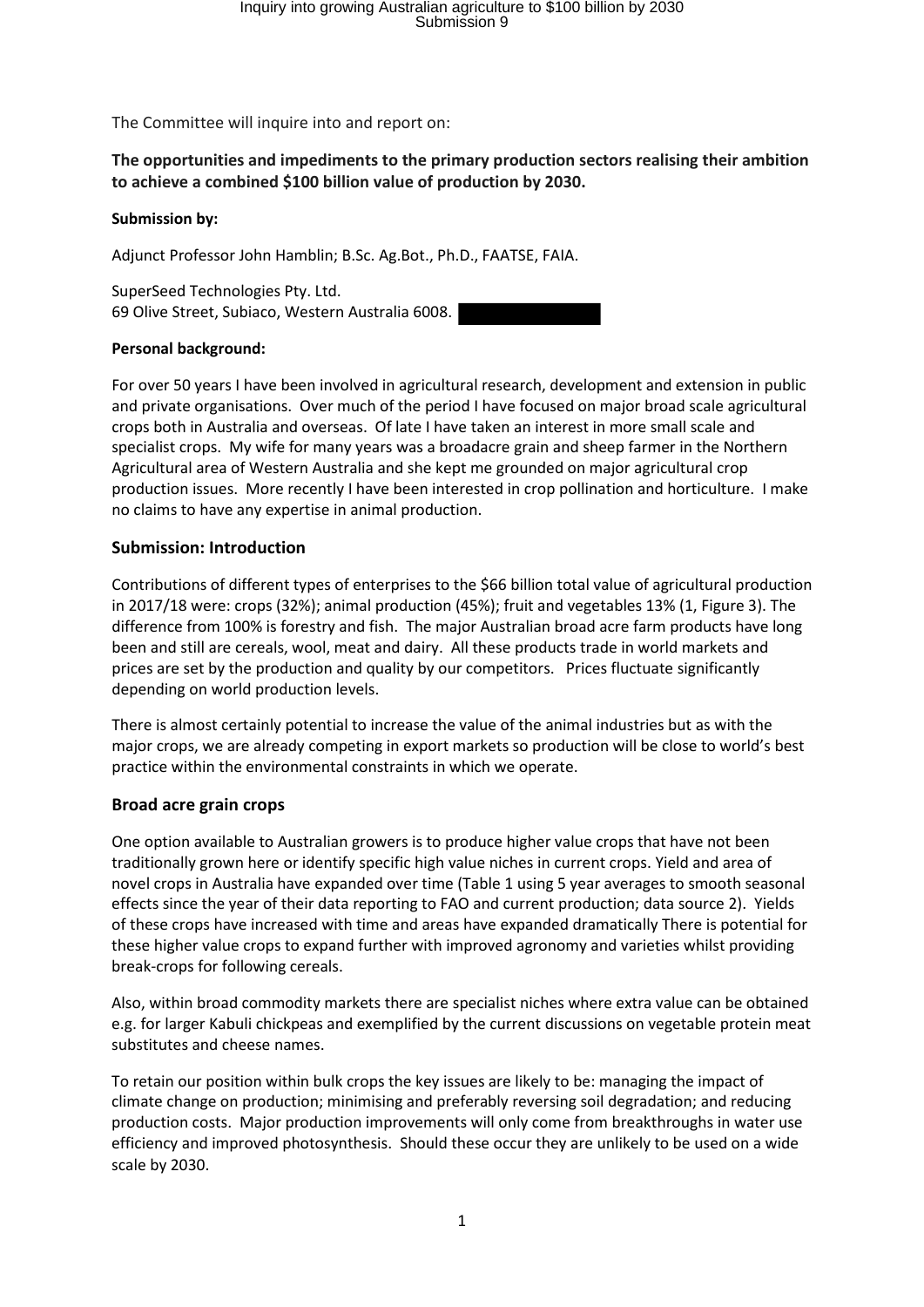The Committee will inquire into and report on:

## **The opportunities and impediments to the primary production sectors realising their ambition to achieve a combined \$100 billion value of production by 2030.**

### **Submission by:**

Adjunct Professor John Hamblin; B.Sc. Ag.Bot., Ph.D., FAATSE, FAIA.

SuperSeed Technologies Pty. Ltd. 69 Olive Street, Subiaco, Western Australia 6008.

### **Personal background:**

For over 50 years I have been involved in agricultural research, development and extension in public and private organisations. Over much of the period I have focused on major broad scale agricultural crops both in Australia and overseas. Of late I have taken an interest in more small scale and specialist crops. My wife for many years was a broadacre grain and sheep farmer in the Northern Agricultural area of Western Australia and she kept me grounded on major agricultural crop production issues. More recently I have been interested in crop pollination and horticulture. I make no claims to have any expertise in animal production.

## **Submission: Introduction**

Contributions of different types of enterprises to the \$66 billion total value of agricultural production in 2017/18 were: crops (32%); animal production (45%); fruit and vegetables 13% (1, Figure 3). The difference from 100% is forestry and fish. The major Australian broad acre farm products have long been and still are cereals, wool, meat and dairy. All these products trade in world markets and prices are set by the production and quality by our competitors. Prices fluctuate significantly depending on world production levels.

There is almost certainly potential to increase the value of the animal industries but as with the major crops, we are already competing in export markets so production will be close to world's best practice within the environmental constraints in which we operate.

# **Broad acre grain crops**

One option available to Australian growers is to produce higher value crops that have not been traditionally grown here or identify specific high value niches in current crops. Yield and area of novel crops in Australia have expanded over time (Table 1 using 5 year averages to smooth seasonal effects since the year of their data reporting to FAO and current production; data source 2). Yields of these crops have increased with time and areas have expanded dramatically There is potential for these higher value crops to expand further with improved agronomy and varieties whilst providing break-crops for following cereals.

Also, within broad commodity markets there are specialist niches where extra value can be obtained e.g. for larger Kabuli chickpeas and exemplified by the current discussions on vegetable protein meat substitutes and cheese names.

To retain our position within bulk crops the key issues are likely to be: managing the impact of climate change on production; minimising and preferably reversing soil degradation; and reducing production costs. Major production improvements will only come from breakthroughs in water use efficiency and improved photosynthesis. Should these occur they are unlikely to be used on a wide scale by 2030.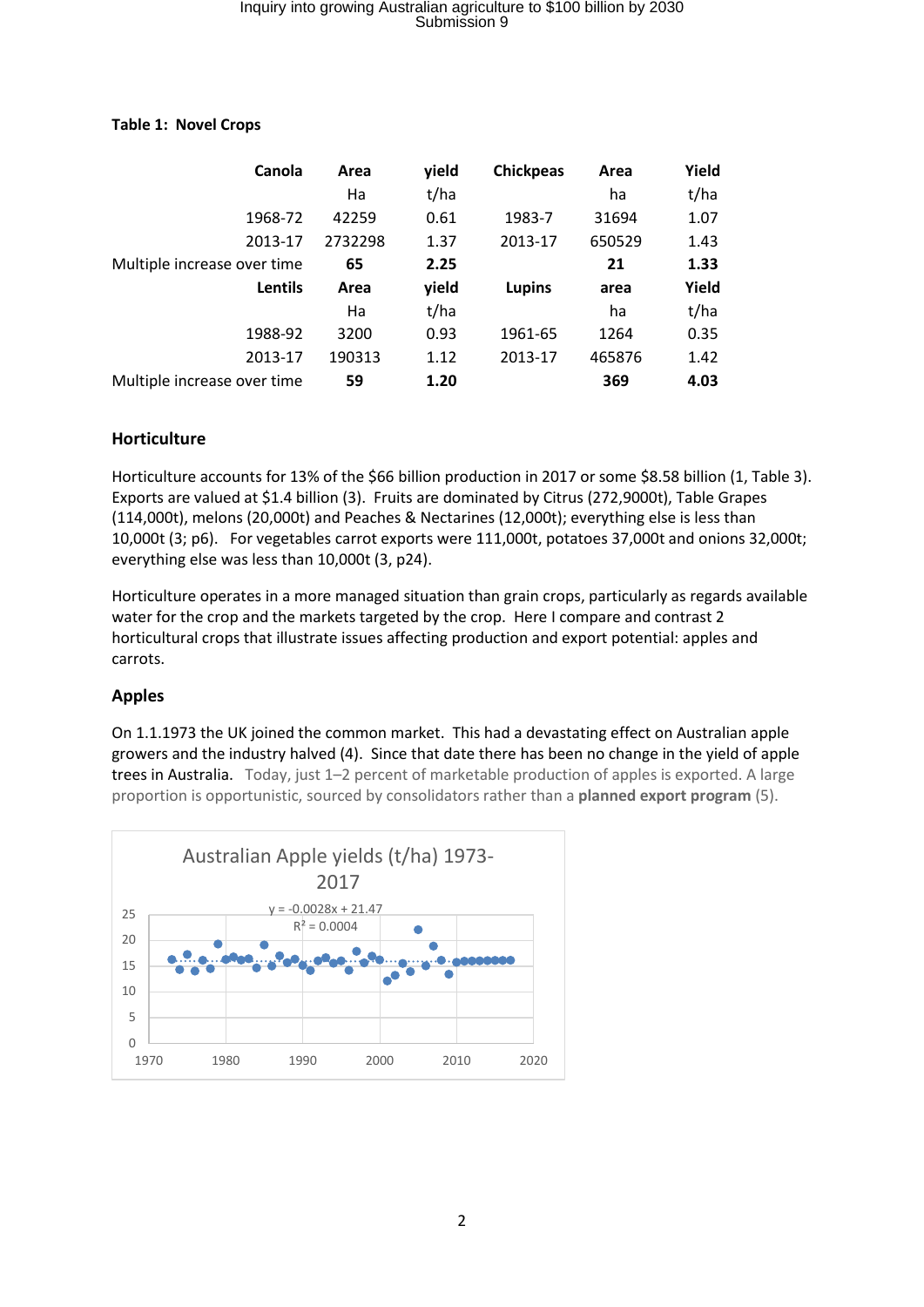# Inquiry into growing Australian agriculture to \$100 billion by 2030 Submission 9

| Canola                      | Area    | yield | <b>Chickpeas</b> | Area   | Yield |
|-----------------------------|---------|-------|------------------|--------|-------|
|                             | Ha      | t/ha  |                  | ha     | t/ha  |
| 1968-72                     | 42259   | 0.61  | 1983-7           | 31694  | 1.07  |
| 2013-17                     | 2732298 | 1.37  | 2013-17          | 650529 | 1.43  |
| Multiple increase over time | 65      | 2.25  |                  | 21     | 1.33  |
| <b>Lentils</b>              | Area    | yield | Lupins           | area   | Yield |
|                             | Ha      | t/ha  |                  | ha     | t/ha  |
| 1988-92                     | 3200    | 0.93  | 1961-65          | 1264   | 0.35  |
| 2013-17                     | 190313  | 1.12  | 2013-17          | 465876 | 1.42  |
|                             |         |       |                  |        |       |

### **Table 1: Novel Crops**

## **Horticulture**

Horticulture accounts for 13% of the \$66 billion production in 2017 or some \$8.58 billion (1, Table 3). Exports are valued at \$1.4 billion (3). Fruits are dominated by Citrus (272,9000t), Table Grapes (114,000t), melons (20,000t) and Peaches & Nectarines (12,000t); everything else is less than 10,000t (3; p6). For vegetables carrot exports were 111,000t, potatoes 37,000t and onions 32,000t; everything else was less than 10,000t (3, p24).

Horticulture operates in a more managed situation than grain crops, particularly as regards available water for the crop and the markets targeted by the crop. Here I compare and contrast 2 horticultural crops that illustrate issues affecting production and export potential: apples and carrots.

# **Apples**

On 1.1.1973 the UK joined the common market. This had a devastating effect on Australian apple growers and the industry halved (4). Since that date there has been no change in the yield of apple trees in Australia. Today, just 1–2 percent of marketable production of apples is exported. A large proportion is opportunistic, sourced by consolidators rather than a **planned export program** (5).

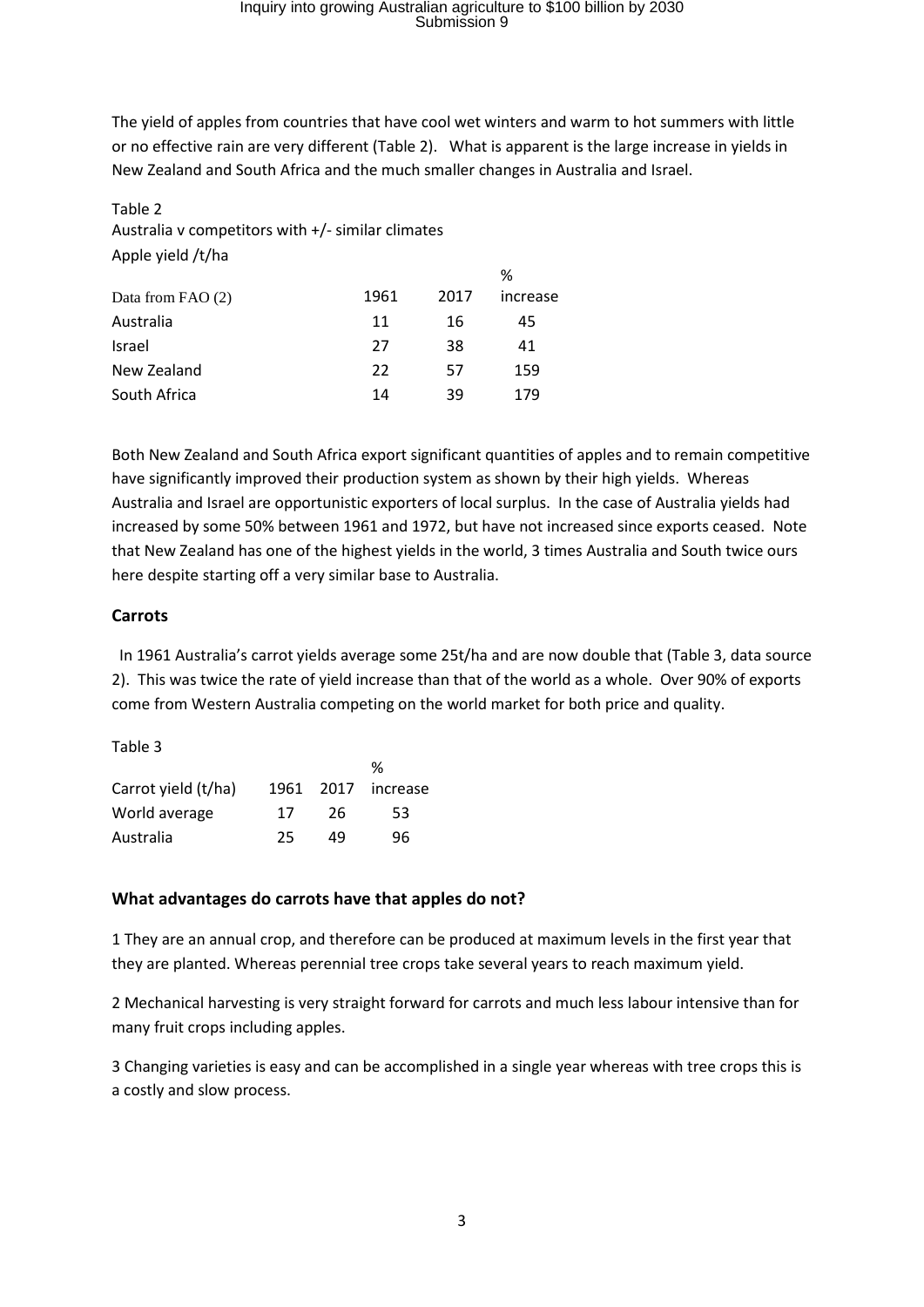# Inquiry into growing Australian agriculture to \$100 billion by 2030 Submission 9

The yield of apples from countries that have cool wet winters and warm to hot summers with little or no effective rain are very different (Table 2). What is apparent is the large increase in yields in New Zealand and South Africa and the much smaller changes in Australia and Israel.

## Table 2 Australia v competitors with +/- similar climates Apple yield /t/ha

|      |    | ℅        |  |
|------|----|----------|--|
| 1961 |    | increase |  |
| 11   | 16 | 45       |  |
| 27   | 38 | 41       |  |
| 22   | 57 | 159      |  |
| 14   | 39 | 179      |  |
|      |    | 2017     |  |

Both New Zealand and South Africa export significant quantities of apples and to remain competitive have significantly improved their production system as shown by their high yields. Whereas Australia and Israel are opportunistic exporters of local surplus. In the case of Australia yields had increased by some 50% between 1961 and 1972, but have not increased since exports ceased. Note that New Zealand has one of the highest yields in the world, 3 times Australia and South twice ours here despite starting off a very similar base to Australia.

# **Carrots**

 In 1961 Australia's carrot yields average some 25t/ha and are now double that (Table 3, data source 2). This was twice the rate of yield increase than that of the world as a whole. Over 90% of exports come from Western Australia competing on the world market for both price and quality.

### Table 3

|                     |      |      | %        |
|---------------------|------|------|----------|
| Carrot yield (t/ha) | 1961 | 2017 | increase |
| World average       | 17   | 26   | 53       |
| Australia           | 25   | 49   | 96       |

### **What advantages do carrots have that apples do not?**

1 They are an annual crop, and therefore can be produced at maximum levels in the first year that they are planted. Whereas perennial tree crops take several years to reach maximum yield.

2 Mechanical harvesting is very straight forward for carrots and much less labour intensive than for many fruit crops including apples.

3 Changing varieties is easy and can be accomplished in a single year whereas with tree crops this is a costly and slow process.